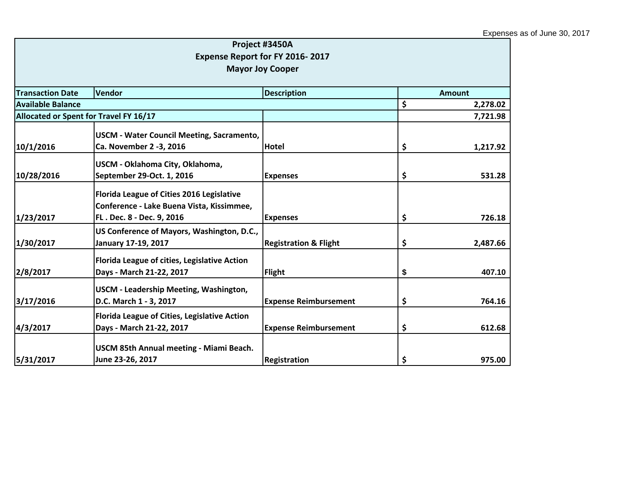|                                                         |                                                                                                                     | Project #3450A<br>Expense Report for FY 2016-2017 |                |  |
|---------------------------------------------------------|---------------------------------------------------------------------------------------------------------------------|---------------------------------------------------|----------------|--|
|                                                         |                                                                                                                     | <b>Mayor Joy Cooper</b>                           |                |  |
| <b>Transaction Date</b><br>Vendor<br><b>Description</b> |                                                                                                                     |                                                   | <b>Amount</b>  |  |
| <b>Available Balance</b>                                |                                                                                                                     |                                                   | \$<br>2,278.02 |  |
| Allocated or Spent for Travel FY 16/17                  |                                                                                                                     |                                                   | 7,721.98       |  |
| 10/1/2016                                               | <b>USCM - Water Council Meeting, Sacramento,</b><br>Ca. November 2 -3, 2016                                         | Hotel                                             | \$<br>1,217.92 |  |
| 10/28/2016                                              | USCM - Oklahoma City, Oklahoma,<br>September 29-Oct. 1, 2016                                                        | <b>Expenses</b>                                   | \$<br>531.28   |  |
| 1/23/2017                                               | Florida League of Cities 2016 Legislative<br>Conference - Lake Buena Vista, Kissimmee,<br>FL. Dec. 8 - Dec. 9, 2016 | <b>Expenses</b>                                   | \$<br>726.18   |  |
| 1/30/2017                                               | US Conference of Mayors, Washington, D.C.,<br>January 17-19, 2017                                                   | <b>Registration &amp; Flight</b>                  | \$<br>2,487.66 |  |
| 2/8/2017                                                | Florida League of cities, Legislative Action<br>Days - March 21-22, 2017                                            | <b>Flight</b>                                     | \$<br>407.10   |  |
| 3/17/2016                                               | USCM - Leadership Meeting, Washington,<br>D.C. March 1 - 3, 2017                                                    | <b>Expense Reimbursement</b>                      | \$<br>764.16   |  |
| 4/3/2017                                                | Florida League of Cities, Legislative Action<br>Days - March 21-22, 2017                                            | <b>Expense Reimbursement</b>                      | \$<br>612.68   |  |
| 5/31/2017                                               | USCM 85th Annual meeting - Miami Beach.<br>June 23-26, 2017                                                         | <b>Registration</b>                               | \$<br>975.00   |  |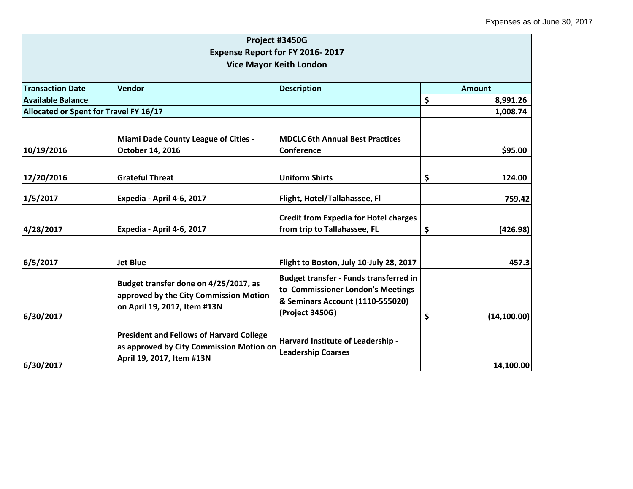|                                                                                                                          | Expense Report for FY 2016-2017                                                                                                           |                                              |                                                              |
|--------------------------------------------------------------------------------------------------------------------------|-------------------------------------------------------------------------------------------------------------------------------------------|----------------------------------------------|--------------------------------------------------------------|
|                                                                                                                          |                                                                                                                                           |                                              |                                                              |
| Vendor<br><b>Description</b><br><b>Transaction Date</b>                                                                  |                                                                                                                                           |                                              |                                                              |
| <b>Available Balance</b>                                                                                                 |                                                                                                                                           |                                              |                                                              |
| Allocated or Spent for Travel FY 16/17                                                                                   |                                                                                                                                           |                                              |                                                              |
| Miami Dade County League of Cities -                                                                                     | <b>MDCLC 6th Annual Best Practices</b>                                                                                                    |                                              |                                                              |
|                                                                                                                          |                                                                                                                                           |                                              |                                                              |
| <b>Grateful Threat</b>                                                                                                   | <b>Uniform Shirts</b>                                                                                                                     | \$                                           | 124.00                                                       |
| Expedia - April 4-6, 2017                                                                                                | Flight, Hotel/Tallahassee, Fl                                                                                                             |                                              | 759.42                                                       |
| Expedia - April 4-6, 2017                                                                                                | <b>Credit from Expedia for Hotel charges</b><br>from trip to Tallahassee, FL                                                              | \$<br>(426.98)                               |                                                              |
| <b>Jet Blue</b>                                                                                                          | Flight to Boston, July 10-July 28, 2017                                                                                                   |                                              | 457.3                                                        |
| Budget transfer done on 4/25/2017, as<br>approved by the City Commission Motion<br>on April 19, 2017, Item #13N          | <b>Budget transfer - Funds transferred in</b><br>to Commissioner London's Meetings<br>& Seminars Account (1110-555020)<br>(Project 3450G) | \$<br>(14, 100.00)                           |                                                              |
| <b>President and Fellows of Harvard College</b><br>as approved by City Commission Motion on<br>April 19, 2017, Item #13N | Harvard Institute of Leadership -<br><b>Leadership Coarses</b>                                                                            |                                              |                                                              |
|                                                                                                                          | October 14, 2016                                                                                                                          | <b>Vice Mayor Keith London</b><br>Conference | Amount<br>\$<br>8,991.26<br>1,008.74<br>\$95.00<br>14,100.00 |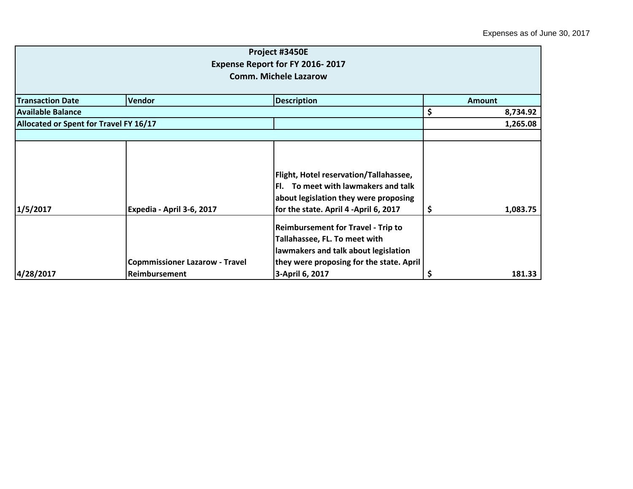|                                        |                                       | Project #3450E                            |               |          |  |
|----------------------------------------|---------------------------------------|-------------------------------------------|---------------|----------|--|
|                                        |                                       | Expense Report for FY 2016-2017           |               |          |  |
|                                        | <b>Comm. Michele Lazarow</b>          |                                           |               |          |  |
|                                        |                                       |                                           |               |          |  |
| <b>Transaction Date</b>                | Vendor                                | <b>Description</b>                        | <b>Amount</b> |          |  |
| <b>Available Balance</b>               |                                       |                                           | \$            | 8,734.92 |  |
| Allocated or Spent for Travel FY 16/17 |                                       |                                           |               | 1,265.08 |  |
|                                        |                                       |                                           |               |          |  |
|                                        |                                       |                                           |               |          |  |
|                                        |                                       |                                           |               |          |  |
|                                        |                                       | Flight, Hotel reservation/Tallahassee,    |               |          |  |
|                                        |                                       | To meet with lawmakers and talk<br>FI.    |               |          |  |
|                                        |                                       | about legislation they were proposing     |               |          |  |
| 1/5/2017                               | Expedia - April 3-6, 2017             | for the state. April 4 -April 6, 2017     | \$            | 1,083.75 |  |
|                                        |                                       | <b>Reimbursement for Travel - Trip to</b> |               |          |  |
|                                        |                                       | Tallahassee, FL. To meet with             |               |          |  |
|                                        |                                       | lawmakers and talk about legislation      |               |          |  |
|                                        | <b>Copmmissioner Lazarow - Travel</b> | they were proposing for the state. April  |               |          |  |
| 4/28/2017                              | Reimbursement                         | 3-April 6, 2017                           |               | 181.33   |  |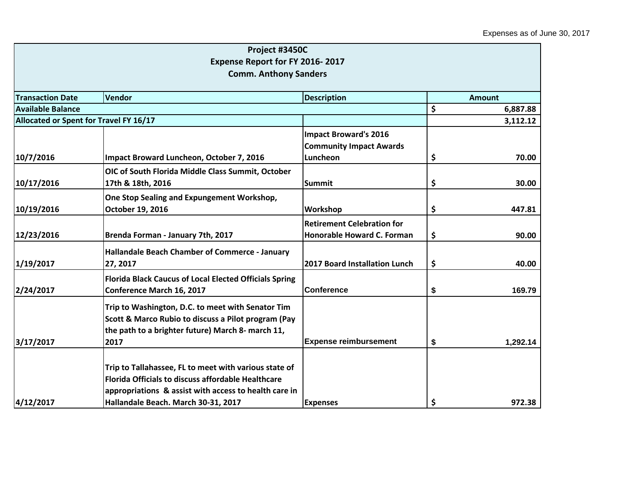|                                        | Project #3450C                                                |                                      |    |               |  |
|----------------------------------------|---------------------------------------------------------------|--------------------------------------|----|---------------|--|
|                                        | Expense Report for FY 2016-2017                               |                                      |    |               |  |
|                                        | <b>Comm. Anthony Sanders</b>                                  |                                      |    |               |  |
|                                        |                                                               |                                      |    |               |  |
| <b>Transaction Date</b>                | <b>Description</b><br>Vendor                                  |                                      |    | <b>Amount</b> |  |
| <b>Available Balance</b>               |                                                               |                                      |    | 6,887.88      |  |
| Allocated or Spent for Travel FY 16/17 |                                                               |                                      |    | 3,112.12      |  |
|                                        |                                                               | <b>Impact Broward's 2016</b>         |    |               |  |
|                                        |                                                               | <b>Community Impact Awards</b>       |    |               |  |
| 10/7/2016                              | Impact Broward Luncheon, October 7, 2016                      | Luncheon                             | \$ | 70.00         |  |
|                                        | OIC of South Florida Middle Class Summit, October             |                                      |    |               |  |
| 10/17/2016                             | 17th & 18th, 2016                                             | <b>Summit</b>                        | \$ | 30.00         |  |
|                                        | One Stop Sealing and Expungement Workshop,                    |                                      |    |               |  |
| 10/19/2016                             | October 19, 2016                                              | Workshop                             | \$ | 447.81        |  |
|                                        |                                                               | <b>Retirement Celebration for</b>    |    |               |  |
| 12/23/2016                             | Brenda Forman - January 7th, 2017                             | Honorable Howard C. Forman           | \$ | 90.00         |  |
|                                        | Hallandale Beach Chamber of Commerce - January                |                                      |    |               |  |
| 1/19/2017                              | 27, 2017                                                      | <b>2017 Board Installation Lunch</b> | \$ | 40.00         |  |
|                                        | <b>Florida Black Caucus of Local Elected Officials Spring</b> |                                      |    |               |  |
| 2/24/2017                              | <b>Conference March 16, 2017</b>                              | <b>Conference</b>                    | \$ | 169.79        |  |
|                                        | Trip to Washington, D.C. to meet with Senator Tim             |                                      |    |               |  |
|                                        | Scott & Marco Rubio to discuss a Pilot program (Pay           |                                      |    |               |  |
|                                        | the path to a brighter future) March 8- march 11,             |                                      |    |               |  |
| 3/17/2017                              | 2017                                                          | <b>Expense reimbursement</b>         | \$ | 1,292.14      |  |
|                                        |                                                               |                                      |    |               |  |
|                                        | Trip to Tallahassee, FL to meet with various state of         |                                      |    |               |  |
|                                        | <b>Florida Officials to discuss affordable Healthcare</b>     |                                      |    |               |  |
|                                        | appropriations & assist with access to health care in         |                                      |    |               |  |
| 4/12/2017                              | Hallandale Beach. March 30-31, 2017                           | <b>Expenses</b>                      | \$ | 972.38        |  |